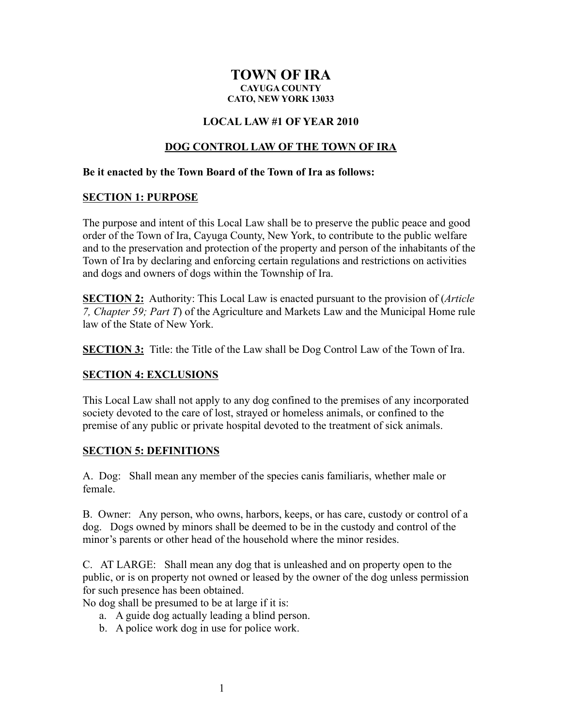### **TOWN OF IRA CAYUGA COUNTY CATO, NEW YORK 13033**

### **LOCAL LAW #1 OF YEAR 2010**

### **DOG CONTROL LAW OF THE TOWN OF IRA**

#### **Be it enacted by the Town Board of the Town of Ira as follows:**

#### **SECTION 1: PURPOSE**

The purpose and intent of this Local Law shall be to preserve the public peace and good order of the Town of Ira, Cayuga County, New York, to contribute to the public welfare and to the preservation and protection of the property and person of the inhabitants of the Town of Ira by declaring and enforcing certain regulations and restrictions on activities and dogs and owners of dogs within the Township of Ira.

**SECTION 2:** Authority: This Local Law is enacted pursuant to the provision of (*Article 7, Chapter 59; Part T*) of the Agriculture and Markets Law and the Municipal Home rule law of the State of New York.

**SECTION 3:** Title: the Title of the Law shall be Dog Control Law of the Town of Ira.

### **SECTION 4: EXCLUSIONS**

This Local Law shall not apply to any dog confined to the premises of any incorporated society devoted to the care of lost, strayed or homeless animals, or confined to the premise of any public or private hospital devoted to the treatment of sick animals.

### **SECTION 5: DEFINITIONS**

A. Dog: Shall mean any member of the species canis familiaris, whether male or female.

B. Owner: Any person, who owns, harbors, keeps, or has care, custody or control of a dog. Dogs owned by minors shall be deemed to be in the custody and control of the minor's parents or other head of the household where the minor resides.

C. AT LARGE: Shall mean any dog that is unleashed and on property open to the public, or is on property not owned or leased by the owner of the dog unless permission for such presence has been obtained.

No dog shall be presumed to be at large if it is:

- a. A guide dog actually leading a blind person.
- b. A police work dog in use for police work.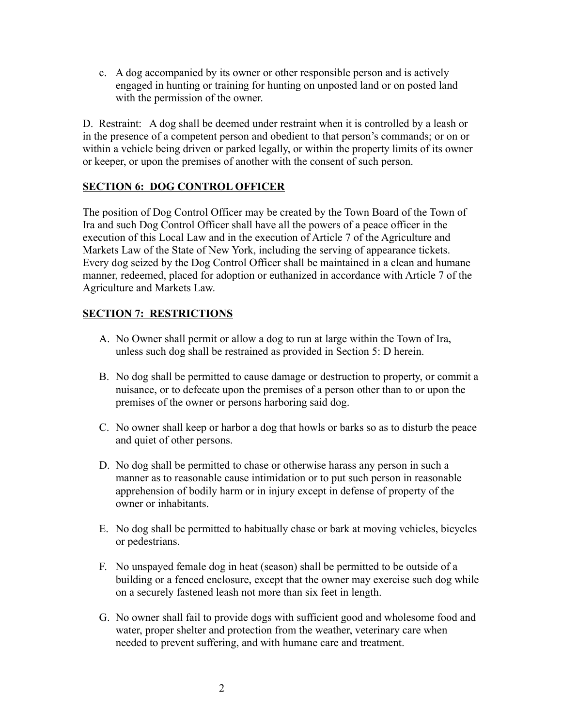c. A dog accompanied by its owner or other responsible person and is actively engaged in hunting or training for hunting on unposted land or on posted land with the permission of the owner.

D. Restraint: A dog shall be deemed under restraint when it is controlled by a leash or in the presence of a competent person and obedient to that person's commands; or on or within a vehicle being driven or parked legally, or within the property limits of its owner or keeper, or upon the premises of another with the consent of such person.

# **SECTION 6: DOG CONTROL OFFICER**

The position of Dog Control Officer may be created by the Town Board of the Town of Ira and such Dog Control Officer shall have all the powers of a peace officer in the execution of this Local Law and in the execution of Article 7 of the Agriculture and Markets Law of the State of New York, including the serving of appearance tickets. Every dog seized by the Dog Control Officer shall be maintained in a clean and humane manner, redeemed, placed for adoption or euthanized in accordance with Article 7 of the Agriculture and Markets Law.

# **SECTION 7: RESTRICTIONS**

- A. No Owner shall permit or allow a dog to run at large within the Town of Ira, unless such dog shall be restrained as provided in Section 5: D herein.
- B. No dog shall be permitted to cause damage or destruction to property, or commit a nuisance, or to defecate upon the premises of a person other than to or upon the premises of the owner or persons harboring said dog.
- C. No owner shall keep or harbor a dog that howls or barks so as to disturb the peace and quiet of other persons.
- D. No dog shall be permitted to chase or otherwise harass any person in such a manner as to reasonable cause intimidation or to put such person in reasonable apprehension of bodily harm or in injury except in defense of property of the owner or inhabitants.
- E. No dog shall be permitted to habitually chase or bark at moving vehicles, bicycles or pedestrians.
- F. No unspayed female dog in heat (season) shall be permitted to be outside of a building or a fenced enclosure, except that the owner may exercise such dog while on a securely fastened leash not more than six feet in length.
- G. No owner shall fail to provide dogs with sufficient good and wholesome food and water, proper shelter and protection from the weather, veterinary care when needed to prevent suffering, and with humane care and treatment.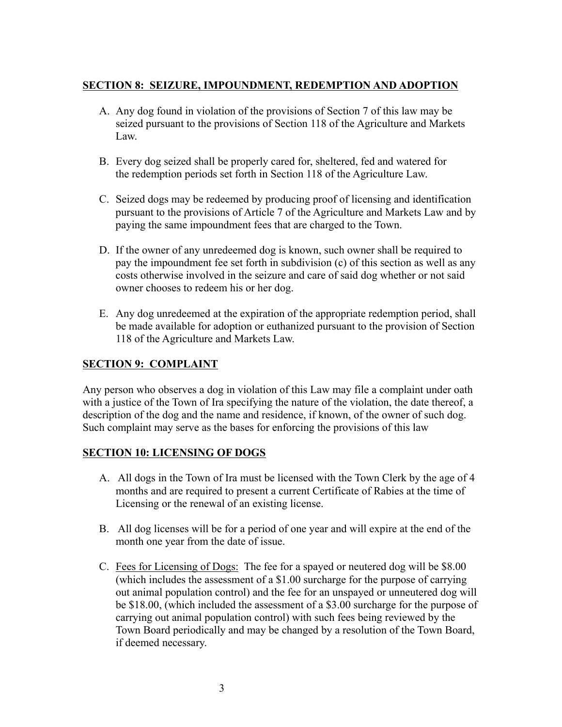# **SECTION 8: SEIZURE, IMPOUNDMENT, REDEMPTION AND ADOPTION**

- A. Any dog found in violation of the provisions of Section 7 of this law may be seized pursuant to the provisions of Section 118 of the Agriculture and Markets Law.
- B. Every dog seized shall be properly cared for, sheltered, fed and watered for the redemption periods set forth in Section 118 of the Agriculture Law.
- C. Seized dogs may be redeemed by producing proof of licensing and identification pursuant to the provisions of Article 7 of the Agriculture and Markets Law and by paying the same impoundment fees that are charged to the Town.
- D. If the owner of any unredeemed dog is known, such owner shall be required to pay the impoundment fee set forth in subdivision (c) of this section as well as any costs otherwise involved in the seizure and care of said dog whether or not said owner chooses to redeem his or her dog.
- E. Any dog unredeemed at the expiration of the appropriate redemption period, shall be made available for adoption or euthanized pursuant to the provision of Section 118 of the Agriculture and Markets Law.

# **SECTION 9: COMPLAINT**

Any person who observes a dog in violation of this Law may file a complaint under oath with a justice of the Town of Ira specifying the nature of the violation, the date thereof, a description of the dog and the name and residence, if known, of the owner of such dog. Such complaint may serve as the bases for enforcing the provisions of this law

# **SECTION 10: LICENSING OF DOGS**

- A. All dogs in the Town of Ira must be licensed with the Town Clerk by the age of 4 months and are required to present a current Certificate of Rabies at the time of Licensing or the renewal of an existing license.
- B. All dog licenses will be for a period of one year and will expire at the end of the month one year from the date of issue.
- C. Fees for Licensing of Dogs: The fee for a spayed or neutered dog will be \$8.00 (which includes the assessment of a \$1.00 surcharge for the purpose of carrying out animal population control) and the fee for an unspayed or unneutered dog will be \$18.00, (which included the assessment of a \$3.00 surcharge for the purpose of carrying out animal population control) with such fees being reviewed by the Town Board periodically and may be changed by a resolution of the Town Board, if deemed necessary.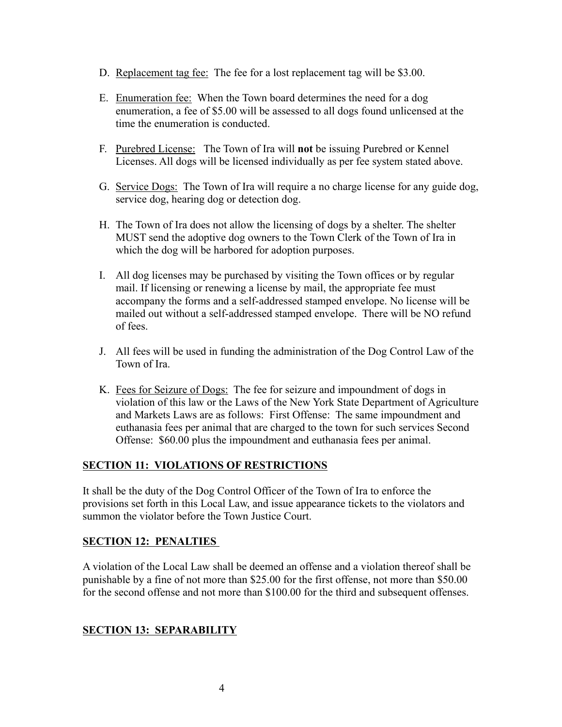- D. Replacement tag fee: The fee for a lost replacement tag will be \$3.00.
- E. Enumeration fee: When the Town board determines the need for a dog enumeration, a fee of \$5.00 will be assessed to all dogs found unlicensed at the time the enumeration is conducted.
- F. Purebred License: The Town of Ira will **not** be issuing Purebred or Kennel Licenses. All dogs will be licensed individually as per fee system stated above.
- G. Service Dogs: The Town of Ira will require a no charge license for any guide dog, service dog, hearing dog or detection dog.
- H. The Town of Ira does not allow the licensing of dogs by a shelter. The shelter MUST send the adoptive dog owners to the Town Clerk of the Town of Ira in which the dog will be harbored for adoption purposes.
- I. All dog licenses may be purchased by visiting the Town offices or by regular mail. If licensing or renewing a license by mail, the appropriate fee must accompany the forms and a self-addressed stamped envelope. No license will be mailed out without a self-addressed stamped envelope. There will be NO refund of fees.
- J. All fees will be used in funding the administration of the Dog Control Law of the Town of Ira.
- K. Fees for Seizure of Dogs: The fee for seizure and impoundment of dogs in violation of this law or the Laws of the New York State Department of Agriculture and Markets Laws are as follows: First Offense: The same impoundment and euthanasia fees per animal that are charged to the town for such services Second Offense: \$60.00 plus the impoundment and euthanasia fees per animal.

# **SECTION 11: VIOLATIONS OF RESTRICTIONS**

It shall be the duty of the Dog Control Officer of the Town of Ira to enforce the provisions set forth in this Local Law, and issue appearance tickets to the violators and summon the violator before the Town Justice Court.

# **SECTION 12: PENALTIES**

A violation of the Local Law shall be deemed an offense and a violation thereof shall be punishable by a fine of not more than \$25.00 for the first offense, not more than \$50.00 for the second offense and not more than \$100.00 for the third and subsequent offenses.

# **SECTION 13: SEPARABILITY**